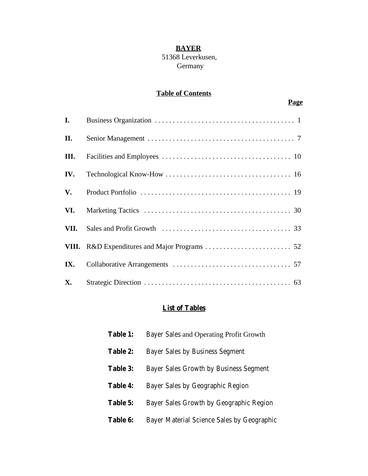#### **BAYER**

#### 51368 Leverkusen, Germany

## **Table of Contents**

## **Page**

| I.        |  |
|-----------|--|
| П.        |  |
| III.      |  |
| IV.       |  |
| V.        |  |
| VI.       |  |
| VII.      |  |
|           |  |
| IX.       |  |
| <b>X.</b> |  |

## **List of Tables**

| <b>Table 1:</b> | Bayer Sales and Operating Profit Growth    |
|-----------------|--------------------------------------------|
| Table 2:        | <b>Bayer Sales by Business Segment</b>     |
| <b>Table 3:</b> | Bayer Sales Growth by Business Segment     |
| <b>Table 4:</b> | Bayer Sales by Geographic Region           |
| Table 5:        | Bayer Sales Growth by Geographic Region    |
| <b>Table 6:</b> | Bayer Material Science Sales by Geographic |